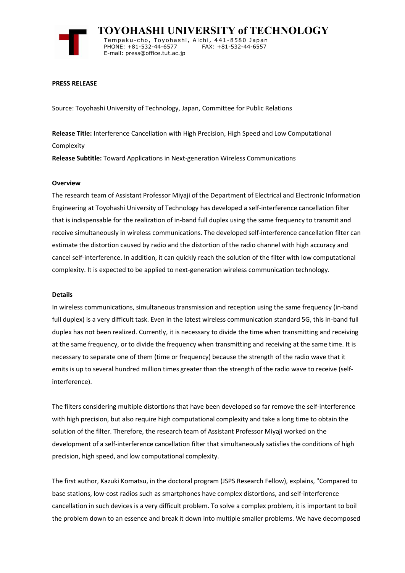

 **TOYOHASHI UNIVERSITY of TECHNOLOGY** Temp a k u-c h o , To y oh a shi , A i ch i , 4 41-858 0 Ja p an PHONE: +81-532-44-6577 E-mail: press@office.tut.ac.jp

#### **PRESS RELEASE**

Source: Toyohashi University of Technology, Japan, Committee for Public Relations

**Release Title:** Interference Cancellation with High Precision, High Speed and Low Computational Complexity

**Release Subtitle:** Toward Applications in Next-generation Wireless Communications

#### **Overview**

The research team of Assistant Professor Miyaji of the Department of Electrical and Electronic Information Engineering at Toyohashi University of Technology has developed a self-interference cancellation filter that is indispensable for the realization of in-band full duplex using the same frequency to transmit and receive simultaneously in wireless communications. The developed self-interference cancellation filter can estimate the distortion caused by radio and the distortion of the radio channel with high accuracy and cancel self-interference. In addition, it can quickly reach the solution of the filter with low computational complexity. It is expected to be applied to next-generation wireless communication technology.

#### **Details**

In wireless communications, simultaneous transmission and reception using the same frequency (in-band full duplex) is a very difficult task. Even in the latest wireless communication standard 5G, this in-band full duplex has not been realized. Currently, it is necessary to divide the time when transmitting and receiving at the same frequency, or to divide the frequency when transmitting and receiving at the same time. It is necessary to separate one of them (time or frequency) because the strength of the radio wave that it emits is up to several hundred million times greater than the strength of the radio wave to receive (selfinterference).

The filters considering multiple distortions that have been developed so far remove the self-interference with high precision, but also require high computational complexity and take a long time to obtain the solution of the filter. Therefore, the research team of Assistant Professor Miyaji worked on the development of a self-interference cancellation filter that simultaneously satisfies the conditions of high precision, high speed, and low computational complexity.

The first author, Kazuki Komatsu, in the doctoral program (JSPS Research Fellow), explains, "Compared to base stations, low-cost radios such as smartphones have complex distortions, and self-interference cancellation in such devices is a very difficult problem. To solve a complex problem, it is important to boil the problem down to an essence and break it down into multiple smaller problems. We have decomposed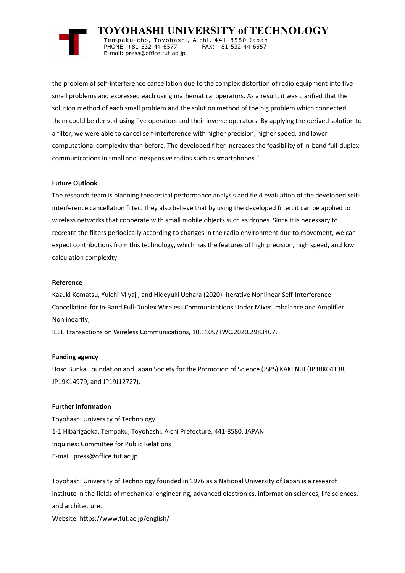

 **TOYOHASHI UNIVERSITY of TECHNOLOGY** Tempaku-cho, Toyohashi, Aichi, 441-8580 Japan<br>PHONE: +81-532-44-6577 FAX: +81-532-44-6557 PHONE: +81-532-44-6577 E-mail: press@office.tut.ac.jp

the problem of self-interference cancellation due to the complex distortion of radio equipment into five small problems and expressed each using mathematical operators. As a result, it was clarified that the solution method of each small problem and the solution method of the big problem which connected them could be derived using five operators and their inverse operators. By applying the derived solution to a filter, we were able to cancel self-interference with higher precision, higher speed, and lower computational complexity than before. The developed filter increases the feasibility of in-band full-duplex communications in small and inexpensive radios such as smartphones."

# **Future Outlook**

The research team is planning theoretical performance analysis and field evaluation of the developed selfinterference cancellation filter. They also believe that by using the developed filter, it can be applied to wireless networks that cooperate with small mobile objects such as drones. Since it is necessary to recreate the filters periodically according to changes in the radio environment due to movement, we can expect contributions from this technology, which has the features of high precision, high speed, and low calculation complexity.

# **Reference**

Kazuki Komatsu, Yuichi Miyaji, and Hideyuki Uehara (2020). Iterative Nonlinear Self-Interference Cancellation for In-Band Full-Duplex Wireless Communications Under Mixer Imbalance and Amplifier Nonlinearity,

IEEE Transactions on Wireless Communications, 10.1109/TWC.2020.2983407.

### **Funding agency**

Hoso Bunka Foundation and Japan Society for the Promotion of Science (JSPS) KAKENHI (JP18K04138, JP19K14979, and JP19J12727).

## **Further information**

Toyohashi University of Technology 1-1 Hibarigaoka, Tempaku, Toyohashi, Aichi Prefecture, 441-8580, JAPAN Inquiries: Committee for Public Relations E-mail: press@office.tut.ac.jp

Toyohashi University of Technology founded in 1976 as a National University of Japan is a research institute in the fields of mechanical engineering, advanced electronics, information sciences, life sciences, and architecture.

Website: https://www.tut.ac.jp/english/